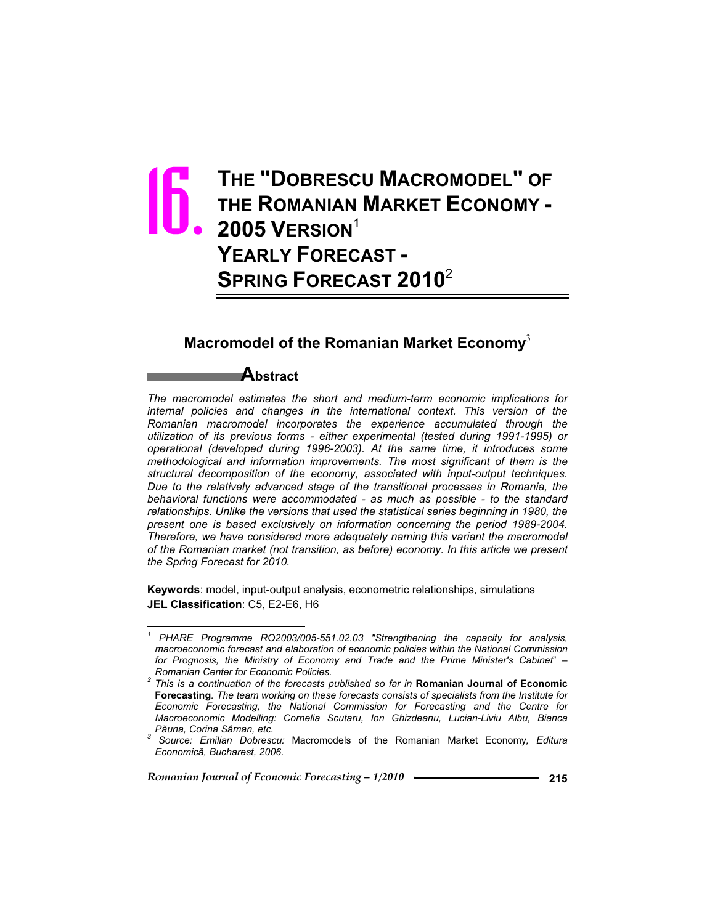# **THE "DOBRESCU MACROMODEL" OF THE ROMANIAN MARKET ECONOMY - 2005 VERSION**<sup>1</sup> **YEARLY FORECAST - SPRING FORECAST 2010**<sup>2</sup> 16.

# **Macromodel of the Romanian Market Economy**<sup>3</sup>

### **Abstract**

*The macromodel estimates the short and medium-term economic implications for internal policies and changes in the international context. This version of the Romanian macromodel incorporates the experience accumulated through the utilization of its previous forms - either experimental (tested during 1991-1995) or operational (developed during 1996-2003). At the same time, it introduces some methodological and information improvements. The most significant of them is the structural decomposition of the economy, associated with input-output techniques. Due to the relatively advanced stage of the transitional processes in Romania, the behavioral functions were accommodated - as much as possible - to the standard*  relationships. Unlike the versions that used the statistical series beginning in 1980, the *present one is based exclusively on information concerning the period 1989-2004. Therefore, we have considered more adequately naming this variant the macromodel of the Romanian market (not transition, as before) economy. In this article we present the Spring Forecast for 2010.*

**Keywords**: model, input-output analysis, econometric relationships, simulations **JEL Classification**: C5, E2-E6, H6

*Romanian Journal of Economic Forecasting – 1/2010* **215**

 $\overline{a}$ 

*<sup>1</sup> PHARE Programme RO2003/005-551.02.03 "Strengthening the capacity for analysis, macroeconomic forecast and elaboration of economic policies within the National Commission for Prognosis, the Ministry of Economy and Trade and the Prime Minister's Cabinet*" *–* 

*Romanian Center for Economic Policies. 2 This is a continuation of the forecasts published so far in* **Romanian Journal of Economic Forecasting***. The team working on these forecasts consists of specialists from the Institute for Economic Forecasting, the National Commission for Forecasting and the Centre for Macroeconomic Modelling: Cornelia Scutaru, Ion Ghizdeanu, Lucian-Liviu Albu, Bianca <sup>P</sup>ăuna, Corina Sâman, etc. <sup>3</sup> Source: Emilian Dobrescu:* Macromodels of the Romanian Market Economy*, Editura* 

*Economică, Bucharest, 2006.*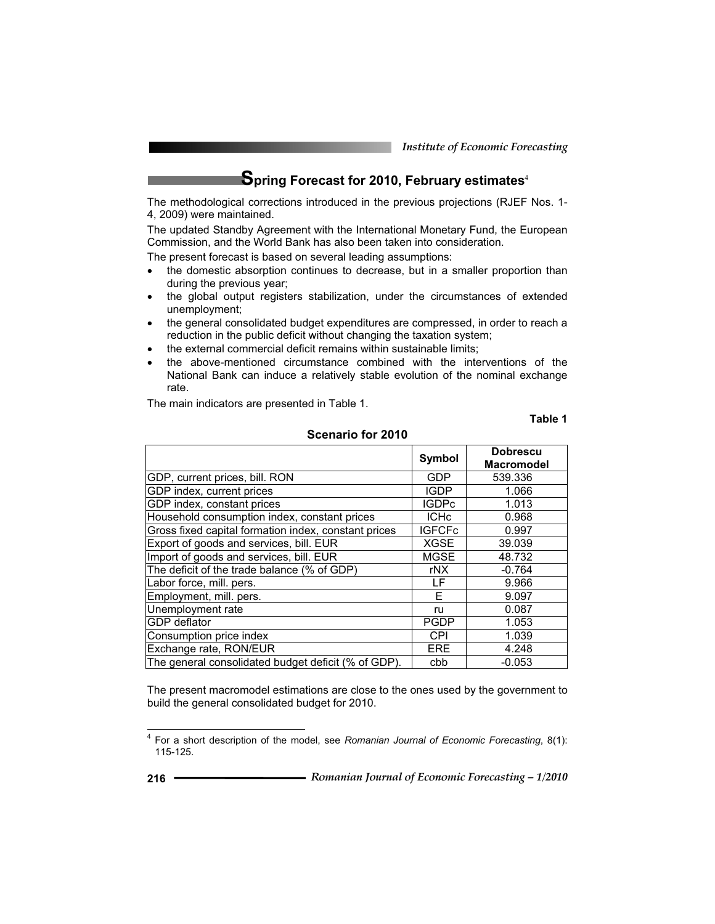*Institute of Economic Forecasting*

**Spring Forecast for 2010, February estimates**<sup>4</sup>

The methodological corrections introduced in the previous projections (RJEF Nos. 1- 4, 2009) were maintained.

The updated Standby Agreement with the International Monetary Fund, the European Commission, and the World Bank has also been taken into consideration.

The present forecast is based on several leading assumptions:

- the domestic absorption continues to decrease, but in a smaller proportion than during the previous year;
- the global output registers stabilization, under the circumstances of extended unemployment;
- the general consolidated budget expenditures are compressed, in order to reach a reduction in the public deficit without changing the taxation system;
- the external commercial deficit remains within sustainable limits:
- the above-mentioned circumstance combined with the interventions of the National Bank can induce a relatively stable evolution of the nominal exchange rate.

The main indicators are presented in Table 1.

**Table 1** 

|                                                      | Symbol        | <b>Dobrescu</b><br><b>Macromodel</b> |
|------------------------------------------------------|---------------|--------------------------------------|
| GDP, current prices, bill. RON                       | GDP           | 539.336                              |
| GDP index, current prices                            | <b>IGDP</b>   | 1.066                                |
| GDP index, constant prices                           | <b>IGDPc</b>  | 1.013                                |
| Household consumption index, constant prices         | <b>ICHc</b>   | 0.968                                |
| Gross fixed capital formation index, constant prices | <b>IGFCFc</b> | 0.997                                |
| Export of goods and services, bill. EUR              | <b>XGSE</b>   | 39.039                               |
| Import of goods and services, bill. EUR              | <b>MGSE</b>   | 48.732                               |
| The deficit of the trade balance (% of GDP)          | rNX           | $-0.764$                             |
| Labor force, mill. pers.                             | LF            | 9.966                                |
| Employment, mill. pers.                              | F             | 9.097                                |
| Unemployment rate                                    | ru            | 0.087                                |
| <b>GDP</b> deflator                                  | <b>PGDP</b>   | 1.053                                |
| Consumption price index                              | CPI           | 1.039                                |
| Exchange rate, RON/EUR                               | ERE           | 4.248                                |
| The general consolidated budget deficit (% of GDP).  | cbb           | $-0.053$                             |

**Scenario for 2010** 

The present macromodel estimations are close to the ones used by the government to build the general consolidated budget for 2010.

 $\overline{a}$ 

<sup>4</sup> For a short description of the model, see *Romanian Journal of Economic Forecasting*, 8(1): 115-125.